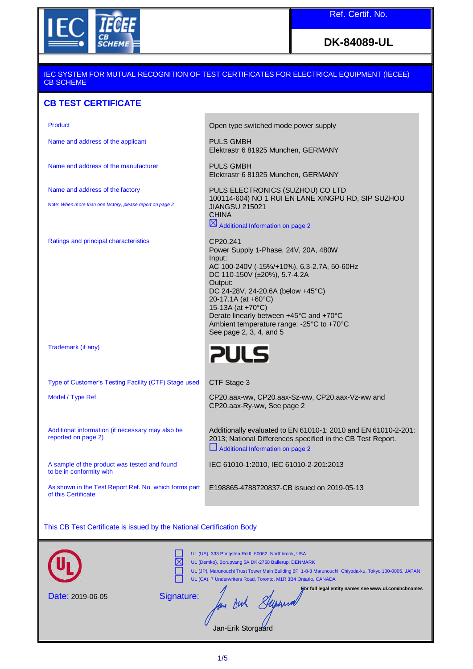

# **DK-84089-UL**

#### IEC SYSTEM FOR MUTUAL RECOGNITION OF TEST CERTIFICATES FOR ELECTRICAL EQUIPMENT (IECEE) CB SCHEME

Elektrastr 6 81925 Munchen, GERMANY

Elektrastr 6 81925 Munchen, GERMANY

PULS ELECTRONICS (SUZHOU) CO LTD

Power Supply 1-Phase, 24V, 20A, 480W

AC 100-240V (-15%/+10%), 6.3-2.7A, 50-60Hz

 $\boxtimes$  Additional Information on page 2

DC 110-150V (±20%), 5.7-4.2A

DC 24-28V, 24-20.6A (below +45°C)

100114-604) NO 1 RUI EN LANE XINGPU RD, SIP SUZHOU

## **CB TEST CERTIFICATE**

Product **Product Product Open type switched mode power supply** 

Name and address of the applicant PULS GMBH

Name and address of the manufacturer PULS GMBH

Name and address of the factory

Note: *When more than one factory, please report on page 2*

Ratings and principal characteristics

Trademark (if any)

Derate linearly between +45°C and +70°C Ambient temperature range: -25°C to +70°C See page 2, 3, 4, and 5

20-17.1A (at +60°C) 15-13A (at +70°C)

JIANGSU 215021

**CHINA** 

CP20.241

Input:

Output:



Type of Customer's Testing Facility (CTF) Stage used CTF Stage 3

Model / Type Ref. CP20.aax-ww, CP20.aax-Sz-ww, CP20.aax-Vz-ww and

Additional information (if necessary may also be reported on page 2)

A sample of the product was tested and found to be in conformity with

As shown in the Test Report Ref. No. which forms part of this Certificate

Additional Information on page 2

CP20.aax-Ry-ww, See page 2

IEC 61010-1:2010, IEC 61010-2-201:2013

E198865-4788720837-CB issued on 2019-05-13

Additionally evaluated to EN 61010-1: 2010 and EN 61010-2-201: 2013; National Differences specified in the CB Test Report.

This CB Test Certificate is issued by the National Certification Body

|                         | UL (US), 333 Pfingsten Rd IL 60062, Northbrook, USA<br>UL (Demko), Borupvang 5A DK-2750 Ballerup, DENMARK<br>UL (JP), Marunouchi Trust Tower Main Building 6F, 1-8-3 Marunouchi, Chiyoda-ku, Tokyo 100-0005, JAPAN<br>UL (CA), 7 Underwriters Road, Toronto, M1R 3B4 Ontario, CANADA |
|-------------------------|--------------------------------------------------------------------------------------------------------------------------------------------------------------------------------------------------------------------------------------------------------------------------------------|
| <b>Date: 2019-06-05</b> | For full legal entity names see www.ul.com/ncbnames<br>Signature:<br>Jan-Erik Storgaard                                                                                                                                                                                              |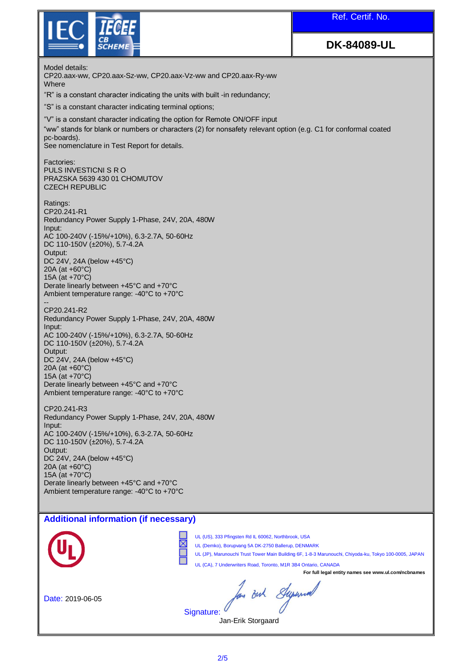| <i><b>IECEE</b></i>                                                                                                                                                                                                                                        | Ref. Certif. No.   |  |  |
|------------------------------------------------------------------------------------------------------------------------------------------------------------------------------------------------------------------------------------------------------------|--------------------|--|--|
| <b>SCHEME</b>                                                                                                                                                                                                                                              | <b>DK-84089-UL</b> |  |  |
| Model details:<br>CP20.aax-ww, CP20.aax-Sz-ww, CP20.aax-Vz-ww and CP20.aax-Ry-ww<br>Where                                                                                                                                                                  |                    |  |  |
| "R" is a constant character indicating the units with built -in redundancy;                                                                                                                                                                                |                    |  |  |
| "S" is a constant character indicating terminal options;                                                                                                                                                                                                   |                    |  |  |
| "V" is a constant character indicating the option for Remote ON/OFF input<br>"ww" stands for blank or numbers or characters (2) for nonsafety relevant option (e.g. C1 for conformal coated<br>pc-boards).<br>See nomenclature in Test Report for details. |                    |  |  |
| Factories:<br>PULS INVESTICNI S R O<br>PRAZSKA 5639 430 01 CHOMUTOV<br><b>CZECH REPUBLIC</b>                                                                                                                                                               |                    |  |  |
| Ratings:<br>CP20.241-R1<br>Redundancy Power Supply 1-Phase, 24V, 20A, 480W<br>Input:<br>AC 100-240V (-15%/+10%), 6.3-2.7A, 50-60Hz<br>DC 110-150V (±20%), 5.7-4.2A                                                                                         |                    |  |  |
| Output:<br>DC 24V, 24A (below +45°C)<br>20A (at +60°C)<br>15A (at +70°C)<br>Derate linearly between +45°C and +70°C<br>Ambient temperature range: -40°C to +70°C                                                                                           |                    |  |  |
| CP20.241-R2<br>Redundancy Power Supply 1-Phase, 24V, 20A, 480W<br>Input:<br>AC 100-240V (-15%/+10%), 6.3-2.7A, 50-60Hz                                                                                                                                     |                    |  |  |
| DC 110-150V (±20%), 5.7-4.2A<br>Output:<br>DC 24V, 24A (below $+45^{\circ}$ C)<br>20A (at +60°C)                                                                                                                                                           |                    |  |  |
| 15A (at +70°C)<br>Derate linearly between +45°C and +70°C<br>Ambient temperature range: -40°C to +70°C                                                                                                                                                     |                    |  |  |
| CP20.241-R3<br>Redundancy Power Supply 1-Phase, 24V, 20A, 480W<br>Input:                                                                                                                                                                                   |                    |  |  |
| AC 100-240V (-15%/+10%), 6.3-2.7A, 50-60Hz<br>DC 110-150V (±20%), 5.7-4.2A<br>Output:<br>DC 24V, 24A (below +45°C)                                                                                                                                         |                    |  |  |
| 20A (at +60°C)<br>15A (at +70°C)<br>Derate linearly between +45°C and +70°C                                                                                                                                                                                |                    |  |  |
| Ambient temperature range: -40°C to +70°C                                                                                                                                                                                                                  |                    |  |  |
| <b>Additional information (if necessary)</b>                                                                                                                                                                                                               |                    |  |  |
| UL (US), 333 Pfingsten Rd IL 60062, Northbrook, USA                                                                                                                                                                                                        |                    |  |  |

**L** 

UL (Demko), Borupvang 5A DK-2750 Ballerup, DENMARK

UL (JP), Marunouchi Trust Tower Main Building 6F, 1-8-3 Marunouchi, Chiyoda-ku, Tokyo 100-0005, JAPAN UL (CA), 7 Underwriters Road, Toronto, M1R 3B4 Ontario, CANADA

**For full legal entity names see www.ul.com/ncbnames**

Date: 2019-06-05

Jan Buh Stypenwood

Signature:

Ē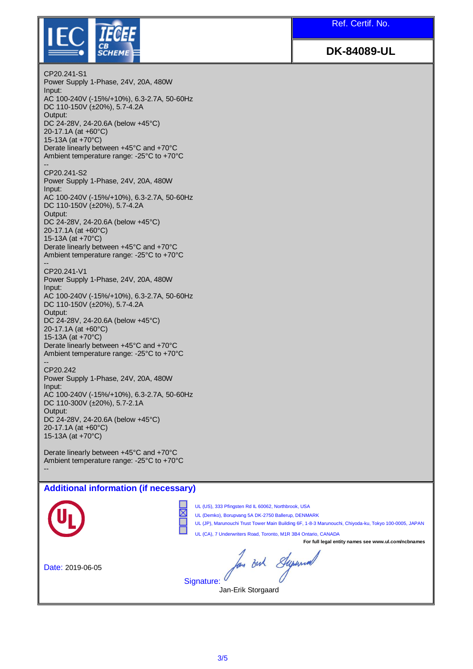Ref. Certif. No.



**DK-84089-UL**

CP20.241-S1 Power Supply 1-Phase, 24V, 20A, 480W Input: AC 100-240V (-15%/+10%), 6.3-2.7A, 50-60Hz DC 110-150V (±20%), 5.7-4.2A Output: DC 24-28V, 24-20.6A (below +45°C) 20-17.1A (at +60°C) 15-13A (at +70°C) Derate linearly between +45°C and +70°C Ambient temperature range: -25°C to +70°C -- CP20.241-S2 Power Supply 1-Phase, 24V, 20A, 480W Input: AC 100-240V (-15%/+10%), 6.3-2.7A, 50-60Hz DC 110-150V (±20%), 5.7-4.2A Output: DC 24-28V, 24-20.6A (below +45°C) 20-17.1A (at +60°C) 15-13A (at +70°C) Derate linearly between +45°C and +70°C Ambient temperature range: -25°C to +70°C -- CP20.241-V1 Power Supply 1-Phase, 24V, 20A, 480W Input: AC 100-240V (-15%/+10%), 6.3-2.7A, 50-60Hz DC 110-150V (±20%), 5.7-4.2A Output: DC 24-28V, 24-20.6A (below +45°C) 20-17.1A (at +60°C) 15-13A (at +70°C) Derate linearly between +45°C and +70°C Ambient temperature range: -25°C to +70°C -- CP20.242 Power Supply 1-Phase, 24V, 20A, 480W Input: AC 100-240V (-15%/+10%), 6.3-2.7A, 50-60Hz DC 110-300V (±20%), 5.7-2.1A Output: DC 24-28V, 24-20.6A (below +45°C) 20-17.1A (at +60°C) 15-13A (at +70°C) Derate linearly between +45°C and +70°C Ambient temperature range: -25°C to +70°C -- 

### **Additional information (if necessary)**

UL (US), 333 Pfingsten Rd IL 60062, Northbrook, USA UL (Demko), Borupvang 5A DK-2750 Ballerup, DENMARK UL (JP), Marunouchi Trust Tower Main Building 6F, 1-8-3 Marunouchi, Chiyoda-ku, Tokyo 100-0005, JAPAN UL (CA), 7 Underwriters Road, Toronto, M1R 3B4 Ontario, CANADA **For full legal entity names see www.ul.com/ncbnames** hou out Syrund Date: 2019-06-05Signature: Jan-Erik Storgaard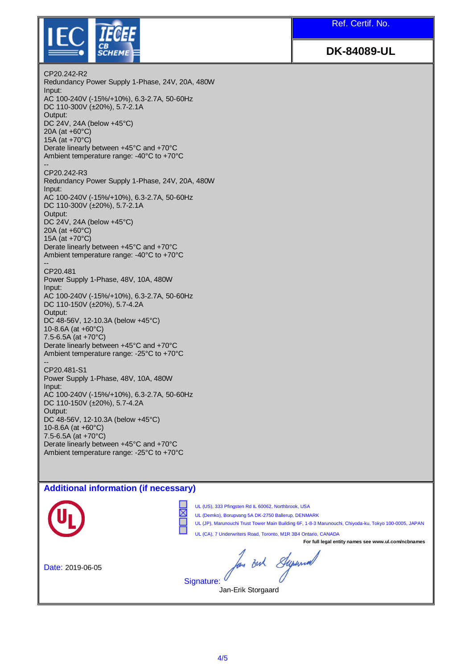Ref. Certif. No.



**DK-84089-UL**

CP20.242-R2 Redundancy Power Supply 1-Phase, 24V, 20A, 480W Input: AC 100-240V (-15%/+10%), 6.3-2.7A, 50-60Hz DC 110-300V (±20%), 5.7-2.1A Output: DC 24V, 24A (below +45°C) 20A (at +60°C) 15A (at +70°C) Derate linearly between +45°C and +70°C Ambient temperature range: -40°C to +70°C -- CP20.242-R3 Redundancy Power Supply 1-Phase, 24V, 20A, 480W Input: AC 100-240V (-15%/+10%), 6.3-2.7A, 50-60Hz DC 110-300V (±20%), 5.7-2.1A Output: DC 24V, 24A (below +45°C) 20A (at +60°C) 15A (at +70°C) Derate linearly between +45°C and +70°C Ambient temperature range: -40°C to +70°C -- CP20.481 Power Supply 1-Phase, 48V, 10A, 480W Input: AC 100-240V (-15%/+10%), 6.3-2.7A, 50-60Hz DC 110-150V (±20%), 5.7-4.2A Output: DC 48-56V, 12-10.3A (below +45°C) 10-8.6A (at +60°C) 7.5-6.5A (at +70°C) Derate linearly between +45°C and +70°C Ambient temperature range: -25°C to +70°C -- CP20.481-S1 Power Supply 1-Phase, 48V, 10A, 480W Input: AC 100-240V (-15%/+10%), 6.3-2.7A, 50-60Hz DC 110-150V (±20%), 5.7-4.2A Output: DC 48-56V, 12-10.3A (below +45°C) 10-8.6A (at +60°C) 7.5-6.5A (at +70°C) Derate linearly between +45°C and +70°C Ambient temperature range: -25°C to +70°C

## **Additional information (if necessary)**

UL (US), 333 Pfingsten Rd IL 60062, Northbrook, USA UL (Demko), Borupvang 5A DK-2750 Ballerup, DENMARK UL (JP), Marunouchi Trust Tower Main Building 6F, 1-8-3 Marunouchi, Chiyoda-ku, Tokyo 100-0005, JAPAN UL (CA), 7 Underwriters Road, Toronto, M1R 3B4 Ontario, CANADA **For full legal entity names see www.ul.com/ncbnames** hou out Syrund Date: 2019-06-05Signature: Jan-Erik Storgaard